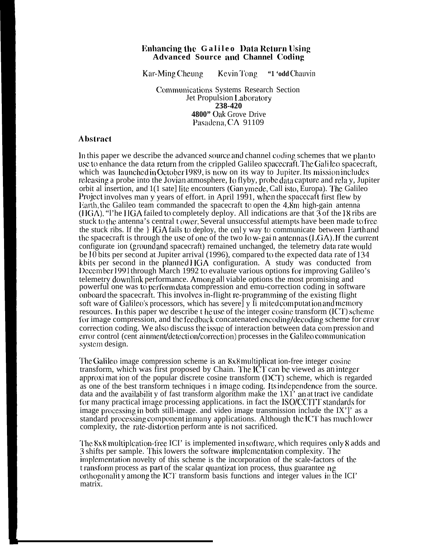## **Ihhanc.ing the Galileo l)ata Return llsing Advanced Source am] Channel Cocling**

Kar-Ming Cheung Kevin Tong **"1 'odd** Chauvin

Communications Systems Research Section Jet Propulsion 1,ahoratory **238-420 4800"** Oak Grove Drive Pasadema, CA 91109

## Abstract

In this paper we describe the advanced source and channel coding schemes that we plan to use to enhance the data return from the crippled Galileo spacecraft. The Gali leo spacecraft, which was launched in October 1989, is now on its way to Jupiter. Its mission includes releasing a probe into the Jovian atmosphere,  $10$  flyby, probe data capture and rela y, Jupiter orbit al insertion, and 1(1 sate] Iitc encounters (Gan ymede, Call isto, Europa). T'he Galileo Project involves man y years of effort. in April 1991, when the spacecaft first flew by 1 Larth, the Galileo team commanded the spacecraft to open the 4.8m high-gain antenna ( $HGA$ ). "I'he  $HGA$  failed to completely deploy. All indications are that  $3$  of the 18 ribs are stuck to the antenna's central t ower. Several unsuccessful attempts have been made to free the stuck ribs. If the  $\}$  IGA fails to deploy, the only way to communicate between Earth and the spacecraft is through the use of one of the two  $\log$ -gain antennas (1 GA). If the current configurate ion (ground and spacecraft) remained unchanged, the telemetry data rate would be 10 bits per second at Jupiter arrival (1996), compared to the expected data rate of 134 kbits per second in the planned  $\overline{B}$  (GA configuration. A study was conducted from ]Iccember 1991 through March 1992 to evaluate various options for improving Galileo's telemetry clownlink performance. Among all viable options the most promising and powerful one was to perform data compression and emu-correction coding in software onboard the spacecraft. This involves in-flight re-programming of the existing flight soft ware of Galileo's processors, which has severe] y Ii mited computation and memory resources. In this paper we describe t he use of the integer cosine transform (ICT) scheme for image compression, and the feedback concatenated encoding/decoding scheme for error correction coding. We also discuss the issue of interaction between data compression and error control (cent ainment/detection/correction) processes in the Galileo communication systcm design.

The Galileo image compression scheme is an 8x8 multiplicat ion-free integer cosine transform, which was first proposed by Chain. The ICT can be viewed as an integer approximat ion of the popular discrete cosine transform (DCT) scheme, which is regarded as one of the best transform techniques i n image coding. Its imlepemdence from the source. data and the availability of fast transform algorithm make the  $1X1'$  and tract ive candidate for many practical image processing applications. in fact the ISO/CCITT standards for image processing in both still-image. and video image transmission include the  $IX$ <sup>'</sup>]' as a standard processing component in many applications. Although the ICT has much lower complexity, the rate-distortion perform ante is not sacrificed.

The 8x8 multiplcation-free ICI' is implemented in software, which requires only 8 adds and 3 shifts per sample. This lowers the software implementation complexity. The implementation novelty of this scheme is the incorporation of the scale-factors of the t ransform process as part of the scalar quantizat ion process, thus guarantee ng orthogonality among the ICT transform basis functions and integer values in the ICI' matrix.